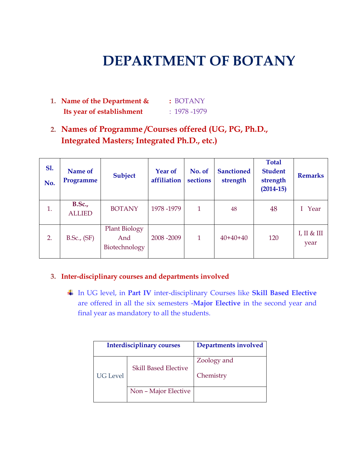# **DEPARTMENT OF BOTANY**

- **1. Name of the Department & :** BOTANY **Its year of establishment** : 1978 -1979
- **2. Names of Programme /Courses offered (UG, PG, Ph.D., Integrated Masters; Integrated Ph.D., etc.)**

| <b>S1.</b><br>No. | Name of<br>Programme           | <b>Subject</b>                               | <b>Year of</b><br>affiliation | No. of<br>sections | <b>Sanctioned</b><br>strength | <b>Total</b><br><b>Student</b><br>strength<br>$(2014 - 15)$ | <b>Remarks</b>      |
|-------------------|--------------------------------|----------------------------------------------|-------------------------------|--------------------|-------------------------------|-------------------------------------------------------------|---------------------|
| 1.                | <b>B.Sc.,</b><br><b>ALLIED</b> | <b>BOTANY</b>                                | 1978-1979                     | 1                  | 48                            | 48                                                          | I Year              |
| 2.                | B.Sc., (SF)                    | <b>Plant Biology</b><br>And<br>Biotechnology | 2008-2009                     | 1                  | $40+40+40$                    | 120                                                         | I, II & III<br>year |

#### **3. Inter-disciplinary courses and departments involved**

In UG level, in **Part IV** inter-disciplinary Courses like **Skill Based Elective**  are offered in all the six semesters -**Major Elective** in the second year and final year as mandatory to all the students.

|                 | <b>Interdisciplinary courses</b> | Departments involved     |
|-----------------|----------------------------------|--------------------------|
| <b>UG</b> Level | <b>Skill Based Elective</b>      | Zoology and<br>Chemistry |
|                 | Non - Major Elective             |                          |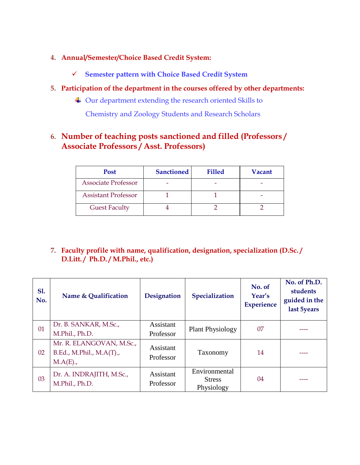#### **4. Annual/Semester/Choice Based Credit System:**

- **Semester pattern with Choice Based Credit System**
- **5. Participation of the department in the courses offered by other departments:**
	- Our department extending the research oriented Skills to

Chemistry and Zoology Students and Research Scholars

# **6. Number of teaching posts sanctioned and filled (Professors / Associate Professors / Asst. Professors)**

| <b>Post</b>                | <b>Sanctioned</b> | <b>Filled</b> | Vacant |
|----------------------------|-------------------|---------------|--------|
| <b>Associate Professor</b> |                   |               |        |
| <b>Assistant Professor</b> |                   |               |        |
| <b>Guest Faculty</b>       |                   |               |        |

#### **7. Faculty profile with name, qualification, designation, specialization (D.Sc. / D.Litt. / Ph.D. / M.Phil., etc.)**

| <b>S1.</b><br>No. | Name & Qualification                                                | Designation            | Specialization                               | No. of<br>Year's<br><b>Experience</b> | No. of Ph.D.<br>students<br>guided in the<br>last 5years |
|-------------------|---------------------------------------------------------------------|------------------------|----------------------------------------------|---------------------------------------|----------------------------------------------------------|
| 01                | Dr. B. SANKAR, M.Sc.,<br>M.Phil., Ph.D.                             | Assistant<br>Professor | <b>Plant Physiology</b>                      | 07                                    |                                                          |
| 02                | Mr. R. ELANGOVAN, M.Sc.,<br>B.Ed., M.Phil., M.A(T).,<br>$M.A(E)$ ., | Assistant<br>Professor | Taxonomy                                     | 14                                    |                                                          |
| 03                | Dr. A. INDRAJITH, M.Sc.,<br>M.Phil., Ph.D.                          | Assistant<br>Professor | Environmental<br><b>Stress</b><br>Physiology | 04                                    |                                                          |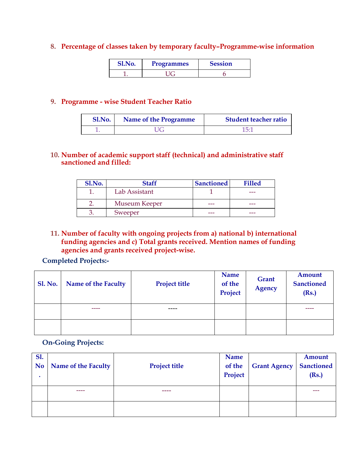#### **8. Percentage of classes taken by temporary faculty–Programme-wise information**

| Sl.No. | <b>Programmes</b> | <b>Session</b> |
|--------|-------------------|----------------|
|        |                   |                |

#### **9. Programme - wise Student Teacher Ratio**

| <b>Sl.No.</b> | <b>Name of the Programme</b> | <b>Student teacher ratio</b> |
|---------------|------------------------------|------------------------------|
|               | JG                           | $15^{.7}$                    |

#### **10. Number of academic support staff (technical) and administrative staff sanctioned and filled:**

| Sl.No. | Staff         | <b>Sanctioned</b> | <b>Filled</b> |
|--------|---------------|-------------------|---------------|
|        | Lab Assistant |                   | ---           |
|        | Museum Keeper | ---               | ---           |
|        | Sweeper       | ---               | ---           |

#### **11. Number of faculty with ongoing projects from a) national b) international funding agencies and c) Total grants received. Mention names of funding agencies and grants received project-wise.**

#### **Completed Projects:-**

| <b>Sl. No.</b> | Name of the Faculty | <b>Project title</b> | Name<br>of the<br>Project | Grant<br><b>Agency</b> | Amount<br><b>Sanctioned</b><br>(Rs.) |  |
|----------------|---------------------|----------------------|---------------------------|------------------------|--------------------------------------|--|
|                |                     |                      |                           |                        |                                      |  |
|                |                     |                      |                           |                        |                                      |  |

#### **On-Going Projects:**

| <b>S1.</b><br><b>No</b> | Name of the Faculty | <b>Project title</b> | <b>Name</b><br>of the<br>Project | <b>Grant Agency</b> | <b>Amount</b><br><b>Sanctioned</b><br>(Rs.) |
|-------------------------|---------------------|----------------------|----------------------------------|---------------------|---------------------------------------------|
|                         |                     |                      |                                  |                     | ---                                         |
|                         |                     |                      |                                  |                     |                                             |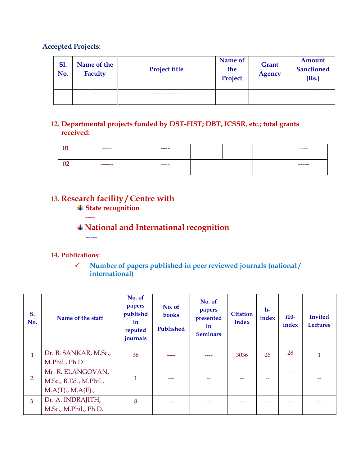#### **Accepted Projects:**

| <b>S1.</b><br>No.        | Name of the<br>Faculty | <b>Project title</b> | Name of<br>the<br>Project | Grant<br><b>Agency</b> | <b>Amount</b><br><b>Sanctioned</b><br>(Rs.) |
|--------------------------|------------------------|----------------------|---------------------------|------------------------|---------------------------------------------|
| $\overline{\phantom{a}}$ | $-$                    |                      | -                         | -                      | ٠                                           |

### **12. Departmental projects funded by DST-FIST; DBT, ICSSR, etc.; total grants received:**

| $\mathbf{A}$<br>UI | ------  | ----- |  | ----- |
|--------------------|---------|-------|--|-------|
| 02                 | ------- | ----- |  | ----- |

# **13. Research facility / Centre with**

**State recognition**

**----**

-----

# **National and International recognition**

#### **14. Publications:**

 **Number of papers published in peer reviewed journals (national / international)**

| S.<br>No.    | Name of the staff      | No. of<br>papers<br>publishd<br>in<br>reputed<br>journals | No. of<br>books<br>Published | No. of<br>papers<br>presented<br>in<br><b>Seminars</b> | <b>Citation</b><br><b>Index</b> | $h-$<br>index | $i10-$<br>index | <b>Invited</b><br><b>Lectures</b> |
|--------------|------------------------|-----------------------------------------------------------|------------------------------|--------------------------------------------------------|---------------------------------|---------------|-----------------|-----------------------------------|
| $\mathbf{1}$ | Dr. B. SANKAR, M.Sc.,  | 36                                                        |                              |                                                        | 3036                            | 26            | 28              | $\mathbf{1}$                      |
|              | M.Phil., Ph.D.         |                                                           |                              |                                                        |                                 |               |                 |                                   |
|              | Mr. R. ELANGOVAN,      |                                                           |                              |                                                        |                                 |               |                 |                                   |
| 2.           | M.Sc., B.Ed., M.Phil., | 1                                                         | ---                          | --                                                     |                                 |               |                 |                                   |
|              | M.A(T), M.A(E),        |                                                           |                              |                                                        |                                 |               |                 |                                   |
| 3.           | Dr. A. INDRAJITH,      | 8                                                         |                              | ---                                                    |                                 |               |                 |                                   |
|              | M.Sc., M.Phil., Ph.D.  |                                                           |                              |                                                        |                                 |               |                 |                                   |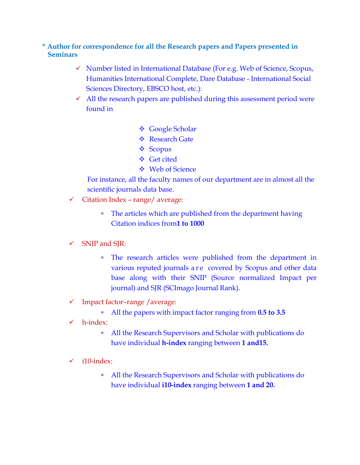#### **\* Author for correspondence for all the Research papers and Papers presented in Seminars**

- $\checkmark$  Number listed in International Database (For e.g. Web of Science, Scopus, Humanities International Complete, Dare Database - International Social Sciences Directory, EBSCO host, etc.):
- $\checkmark$  All the research papers are published during this assessment period were found in
	- Google Scholar
	- **❖** Research Gate
	- ❖ Scopus
	- Get cited
	- **❖** Web of Science

For instance, all the faculty names of our department are in almost all the scientific journals data base.

- $\checkmark$  Citation Index range/ average:
	- The articles which are published from the department having Citation indices from**1 to 1000**
- $\checkmark$  SNIP and SJR:
	- The research articles were published from the department in various reputed journals a r e covered by Scopus and other data base along with their SNIP (Source normalized Impact per journal) and SJR (SCImago Journal Rank).
- $\checkmark$  Impact factor–range /average:
	- All the papers with impact factor ranging from **0.5 to 3.5**
- h-index:
	- All the Research Supervisors and Scholar with publications do have individual **h-index** ranging between **1 and15.**
- $\checkmark$  i10-index:
	- All the Research Supervisors and Scholar with publications do have individual **i10-index** ranging between **1 and 20.**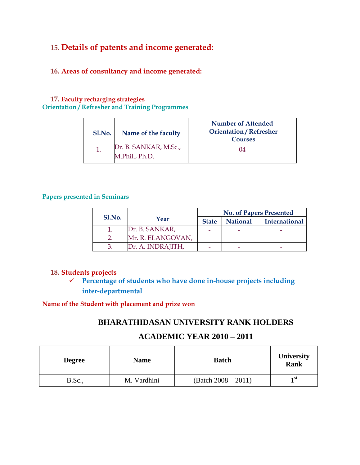# **15. Details of patents and income generated:**

#### **16. Areas of consultancy and income generated:**

#### **17. Faculty recharging strategies Orientation / Refresher and Training Programmes**

| Sl.No. | Name of the faculty                     | <b>Number of Attended</b><br><b>Orientation / Refresher</b><br><b>Courses</b> |
|--------|-----------------------------------------|-------------------------------------------------------------------------------|
|        | Dr. B. SANKAR, M.Sc.,<br>M.Phil., Ph.D. | 04                                                                            |

#### **Papers presented in Seminars**

|        |                   | <b>No. of Papers Presented</b> |                 |                      |  |  |
|--------|-------------------|--------------------------------|-----------------|----------------------|--|--|
| Sl.No. | Year              | <b>State</b>                   | <b>National</b> | <b>International</b> |  |  |
|        | Dr. B. SANKAR,    |                                |                 |                      |  |  |
|        | Mr. R. ELANGOVAN, |                                |                 |                      |  |  |
|        | Dr. A. INDRAJITH, |                                |                 |                      |  |  |

#### **18. Students projects**

 **Percentage of students who have done in-house projects including inter-departmental**

#### **Name of the Student with placement and prize won**

### **BHARATHIDASAN UNIVERSITY RANK HOLDERS**

#### **ACADEMIC YEAR 2010 – 2011**

| <b>Degree</b>  | <b>Name</b> | <b>Batch</b>          | <b>University</b><br><b>Rank</b> |
|----------------|-------------|-----------------------|----------------------------------|
| <b>B.Sc.</b> , | M. Vardhini | $(Batch 2008 - 2011)$ | 1 St                             |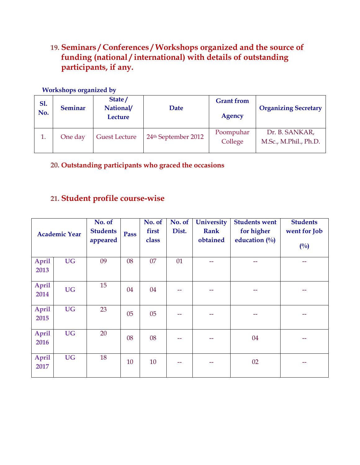# **19. Seminars / Conferences / Workshops organized and the source of funding (national / international) with details of outstanding participants, if any.**

#### **Workshops organized by**

| <b>S1.</b><br>No. | <b>Seminar</b> | State/<br>National/<br><b>Lecture</b> | Date                | <b>Grant</b> from<br>Agency | <b>Organizing Secretary</b>             |
|-------------------|----------------|---------------------------------------|---------------------|-----------------------------|-----------------------------------------|
| 1.                | One day        | <b>Guest Lecture</b>                  | 24th September 2012 | Poompuhar<br>College        | Dr. B. SANKAR,<br>M.Sc., M.Phil., Ph.D. |

**20. Outstanding participants who graced the occasions**

# **21. Student profile course-wise**

|                      | <b>Academic Year</b> | No. of<br><b>Students</b><br>appeared | Pass | No. of<br>first<br>class | No. of<br>Dist. | <b>University</b><br><b>Rank</b><br>obtained | <b>Students went</b><br>for higher<br>education $(\%$ | <b>Students</b><br>went for Job<br>(0/0) |
|----------------------|----------------------|---------------------------------------|------|--------------------------|-----------------|----------------------------------------------|-------------------------------------------------------|------------------------------------------|
| <b>April</b><br>2013 | <b>UG</b>            | 09                                    | 08   | 07                       | 01              |                                              | --                                                    | --                                       |
| <b>April</b><br>2014 | <b>UG</b>            | 15                                    | 04   | 04                       |                 |                                              |                                                       |                                          |
| <b>April</b><br>2015 | <b>UG</b>            | 23                                    | 05   | 05                       |                 |                                              |                                                       |                                          |
| <b>April</b><br>2016 | <b>UG</b>            | 20                                    | 08   | 08                       | --              | --                                           | 04                                                    | --                                       |
| <b>April</b><br>2017 | <b>UG</b>            | 18                                    | 10   | 10                       |                 |                                              | 02                                                    |                                          |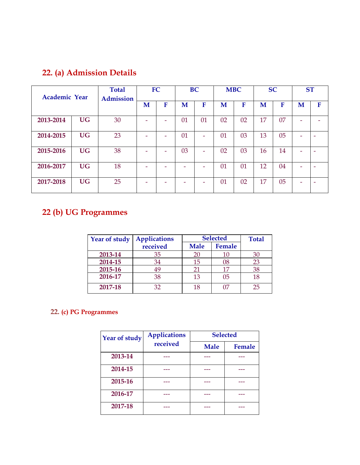# **22. (a) Admission Details**

| <b>Academic Year</b> |           | <b>Total</b><br><b>Admission</b> |   | FC |    | <b>BC</b>                |    | <b>MBC</b> |    | <b>SC</b> | <b>ST</b> |   |
|----------------------|-----------|----------------------------------|---|----|----|--------------------------|----|------------|----|-----------|-----------|---|
|                      |           |                                  | M | F  | M  | F                        | M  | F          | M  | F         | M         | F |
| 2013-2014            | <b>UG</b> | 30                               | - | -  | 01 | 01                       | 02 | 02         | 17 | 07        | ۰         |   |
| 2014-2015            | <b>UG</b> | 23                               | - |    | 01 | -                        | 01 | 03         | 13 | 05        |           | ۰ |
| 2015-2016            | <b>UG</b> | 38                               | - |    | 03 | $\overline{\phantom{0}}$ | 02 | 03         | 16 | 14        |           |   |
| 2016-2017            | <b>UG</b> | 18                               | - |    | -  |                          | 01 | 01         | 12 | 04        |           |   |
| 2017-2018            | <b>UG</b> | 25                               |   |    |    |                          | 01 | 02         | 17 | 05        |           |   |

# **22 (b) UG Programmes**

| Year of study | <b>Selected</b><br><b>Applications</b> |             | <b>Total</b> |    |
|---------------|----------------------------------------|-------------|--------------|----|
|               | received                               | <b>Male</b> | Female       |    |
| 2013-14       | 35                                     | 20          | 10           | 30 |
| 2014-15       | 34                                     | 15          | 08           | 23 |
| 2015-16       | 49                                     | 21          | 17           | 38 |
| 2016-17       | 38                                     | 13          | 05           | 18 |
| 2017-18       | 32                                     | 18          | 07           | 25 |

# **22. (c) PG Programmes**

| Year of study | <b>Applications</b> | <b>Selected</b> |        |  |
|---------------|---------------------|-----------------|--------|--|
|               | received            | <b>Male</b>     | Female |  |
| 2013-14       |                     |                 |        |  |
| 2014-15       |                     |                 |        |  |
| 2015-16       |                     |                 |        |  |
| 2016-17       |                     |                 |        |  |
| 2017-18       |                     |                 |        |  |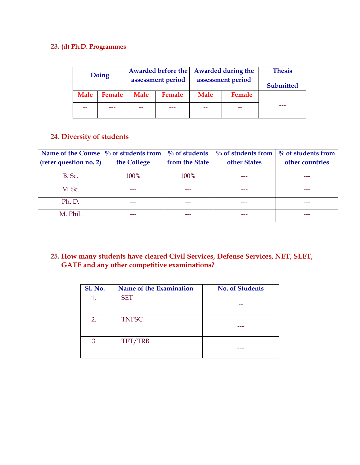#### **23. (d) Ph.D. Programmes**

| Doing       |        | <b>Awarded before the</b><br>assessment period |               |             | <b>Awarded during the</b> | <b>Thesis</b>    |
|-------------|--------|------------------------------------------------|---------------|-------------|---------------------------|------------------|
|             |        |                                                |               |             | assessment period         | <b>Submitted</b> |
| <b>Male</b> | Female | <b>Male</b>                                    | <b>Female</b> | <b>Male</b> | Female                    |                  |
|             |        |                                                |               |             | --                        |                  |

#### **24. Diversity of students**

| Name of the Course $\frac{9}{6}$ of students from |             | $\%$ of students | $\%$ of students from | $\%$ of students from |
|---------------------------------------------------|-------------|------------------|-----------------------|-----------------------|
| (refer question no. 2)                            | the College | from the State   | other States          | other countries       |
| B. Sc.                                            | 100%        | 100%             |                       |                       |
| M. Sc.                                            |             |                  |                       |                       |
| Ph. D.                                            |             |                  |                       |                       |
| M. Phil.                                          |             |                  |                       |                       |

#### **25. How many students have cleared Civil Services, Defense Services, NET, SLET, GATE and any other competitive examinations?**

| <b>Sl. No.</b> | Name of the Examination | <b>No. of Students</b> |
|----------------|-------------------------|------------------------|
| 1.             | <b>SET</b>              |                        |
|                |                         |                        |
| 2.             | <b>TNPSC</b>            |                        |
| 3              | TET/TRB                 |                        |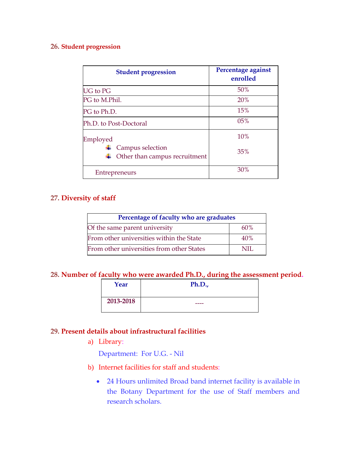#### **26. Student progression**

| <b>Student progression</b>                        | Percentage against<br>enrolled |
|---------------------------------------------------|--------------------------------|
| UG to PG                                          | 50%                            |
| PG to M.Phil.                                     | 20%                            |
| PG to Ph.D.                                       | 15%                            |
| Ph.D. to Post-Doctoral                            | 05%                            |
| Employed                                          | 10%                            |
| Campus selection<br>Other than campus recruitment | 35%                            |
| Entrepreneurs                                     | 30%                            |

#### **27. Diversity of staff**

| Percentage of faculty who are graduates   |     |  |
|-------------------------------------------|-----|--|
| Of the same parent university             | 60% |  |
| From other universities within the State  | 40% |  |
| From other universities from other States | NIL |  |

#### **28. Number of faculty who were awarded Ph.D., during the assessment period.**

| Year      | Ph.D., |
|-----------|--------|
| 2013-2018 | ----   |

### **29. Present details about infrastructural facilities**

a) Library:

Department: For U.G. - Nil

- b) Internet facilities for staff and students:
	- 24 Hours unlimited Broad band internet facility is available in the Botany Department for the use of Staff members and research scholars.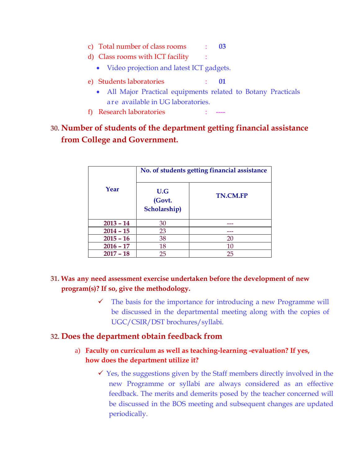- c) Total number of class rooms : **03**
- d) Class rooms with ICT facility :
	- Video projection and latest ICT gadgets.
- e) Students laboratories : **01**
	- All Major Practical equipments related to Botany Practicals are available in UG laboratories.
- f) Research laboratories

# **30. Number of students of the department getting financial assistance from College and Government.**

|             | No. of students getting financial assistance |                 |  |
|-------------|----------------------------------------------|-----------------|--|
| Year        | U.G<br>(Govt.<br>Scholarship)                | <b>TN.CM.FP</b> |  |
| $2013 - 14$ | 30                                           |                 |  |
| $2014 - 15$ | 23                                           |                 |  |
| $2015 - 16$ | 38                                           | 20              |  |
| $2016 - 17$ | 18                                           | 10              |  |
| $2017 - 18$ | 25                                           | 25              |  |

### **31. Was any need assessment exercise undertaken before the development of new program(s)? If so, give the methodology.**

 $\checkmark$  The basis for the importance for introducing a new Programme will be discussed in the departmental meeting along with the copies of UGC/CSIR/DST brochures/syllabi.

### **32. Does the department obtain feedback from**

#### a) **Faculty on curriculum as well as teaching-learning -evaluation? If yes, how does the department utilize it?**

 $\checkmark$  Yes, the suggestions given by the Staff members directly involved in the new Programme or syllabi are always considered as an effective feedback. The merits and demerits posed by the teacher concerned will be discussed in the BOS meeting and subsequent changes are updated periodically.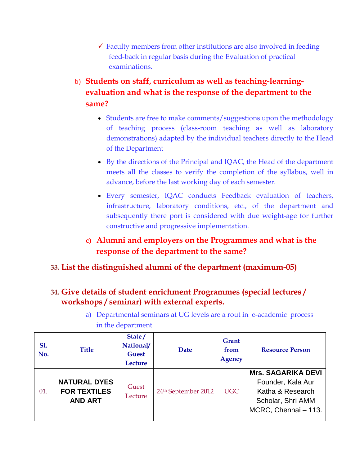- $\checkmark$  Faculty members from other institutions are also involved in feeding feed-back in regular basis during the Evaluation of practical examinations.
- b) **Students on staff, curriculum as well as teaching-learningevaluation and what is the response of the department to the same?**
	- Students are free to make comments/suggestions upon the methodology of teaching process (class-room teaching as well as laboratory demonstrations) adapted by the individual teachers directly to the Head of the Department
	- By the directions of the Principal and IQAC, the Head of the department meets all the classes to verify the completion of the syllabus, well in advance, before the last working day of each semester.
	- Every semester, IQAC conducts Feedback evaluation of teachers, infrastructure, laboratory conditions, etc., of the department and subsequently there port is considered with due weight-age for further constructive and progressive implementation.
	- **c) Alumni and employers on the Programmes and what is the response of the department to the same?**

# **33. List the distinguished alumni of the department (maximum-05)**

# **34. Give details of student enrichment Programmes (special lectures / workshops / seminar) with external experts.**

| a) Departmental seminars at UG levels are a rout in e-academic process |  |
|------------------------------------------------------------------------|--|
| in the department                                                      |  |

| <b>S1.</b><br>No. | <b>Title</b>                                                 | State/<br>National/<br><b>Guest</b><br>Lecture | Date                            | Grant<br>from<br><b>Agency</b> | <b>Resource Person</b>                                                                                          |
|-------------------|--------------------------------------------------------------|------------------------------------------------|---------------------------------|--------------------------------|-----------------------------------------------------------------------------------------------------------------|
| 01.               | <b>NATURAL DYES</b><br><b>FOR TEXTILES</b><br><b>AND ART</b> | Guest<br>Lecture                               | 24 <sup>th</sup> September 2012 | <b>UGC</b>                     | <b>Mrs. SAGARIKA DEVI</b><br>Founder, Kala Aur<br>Katha & Research<br>Scholar, Shri AMM<br>MCRC, Chennai - 113. |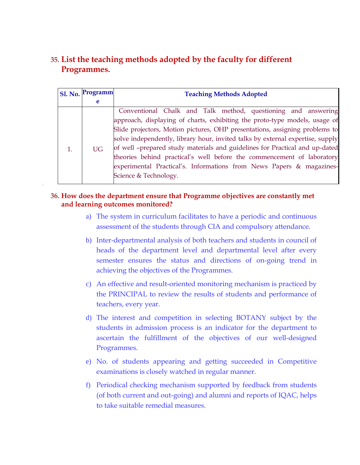# **35. List the teaching methods adopted by the faculty for different Programmes.**

| <b>Sl. No.</b> | Programm  | <b>Teaching Methods Adopted</b>                                                |  |  |  |
|----------------|-----------|--------------------------------------------------------------------------------|--|--|--|
|                | e         |                                                                                |  |  |  |
|                | <b>UG</b> | Conventional Chalk and Talk method, questioning and answering                  |  |  |  |
| 1.             |           | approach, displaying of charts, exhibiting the proto-type models, usage of     |  |  |  |
|                |           | Slide projectors, Motion pictures, OHP presentations, assigning problems to    |  |  |  |
|                |           | solve independently, library hour, invited talks by external expertise, supply |  |  |  |
|                |           | of well -prepared study materials and guidelines for Practical and up-dated    |  |  |  |
|                |           | theories behind practical's well before the commencement of laboratory         |  |  |  |
|                |           | experimental Practical's. Informations from News Papers & magazines-           |  |  |  |
|                |           | Science & Technology.                                                          |  |  |  |
|                |           |                                                                                |  |  |  |

#### **36. How does the department ensure that Programme objectives are constantly met and learning outcomes monitored?**

- a) The system in curriculum facilitates to have a periodic and continuous assessment of the students through CIA and compulsory attendance.
- b) Inter-departmental analysis of both teachers and students in council of heads of the department level and departmental level after every semester ensures the status and directions of on-going trend in achieving the objectives of the Programmes.
- c) An effective and result-oriented monitoring mechanism is practiced by the PRINCIPAL to review the results of students and performance of teachers, every year.
- d) The interest and competition in selecting BOTANY subject by the students in admission process is an indicator for the department to ascertain the fulfillment of the objectives of our well-designed Programmes.
- e) No. of students appearing and getting succeeded in Competitive examinations is closely watched in regular manner.
- f) Periodical checking mechanism supported by feedback from students (of both current and out-going) and alumni and reports of IQAC, helps to take suitable remedial measures.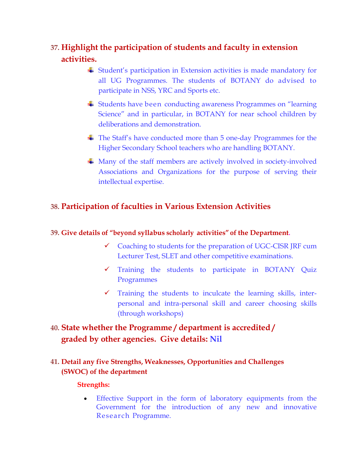# **37. Highlight the participation of students and faculty in extension activities.**

- Student's participation in Extension activities is made mandatory for all UG Programmes. The students of BOTANY do advised to participate in NSS, YRC and Sports etc.
- Students have been conducting awareness Programmes on "learning Science" and in particular, in BOTANY for near school children by deliberations and demonstration.
- The Staff's have conducted more than 5 one-day Programmes for the Higher Secondary School teachers who are handling BOTANY.
- Many of the staff members are actively involved in society-involved Associations and Organizations for the purpose of serving their intellectual expertise.

### **38. Participation of faculties in Various Extension Activities**

#### **39. Give details of "beyond syllabus scholarly activities" of the Department.**

- $\checkmark$  Coaching to students for the preparation of UGC-CISR JRF cum Lecturer Test, SLET and other competitive examinations.
- Training the students to participate in BOTANY Quiz Programmes
- $\checkmark$  Training the students to inculcate the learning skills, interpersonal and intra-personal skill and career choosing skills (through workshops)

# **40. State whether the Programme / department is accredited / graded by other agencies. Give details: Nil**

### **41. Detail any five Strengths, Weaknesses, Opportunities and Challenges (SWOC) of the department**

#### **Strengths:**

 Effective Support in the form of laboratory equipments from the Government for the introduction of any new and innovative Research Programme.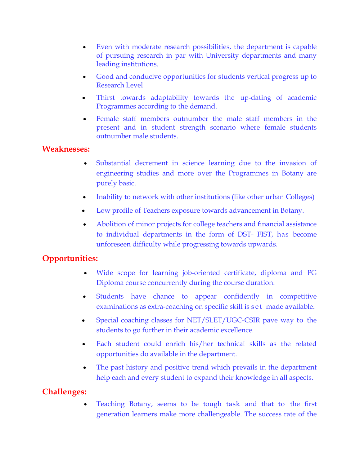- Even with moderate research possibilities, the department is capable of pursuing research in par with University departments and many leading institutions.
- Good and conducive opportunities for students vertical progress up to Research Level
- Thirst towards adaptability towards the up-dating of academic Programmes according to the demand.
- Female staff members outnumber the male staff members in the present and in student strength scenario where female students outnumber male students.

#### **Weaknesses:**

- Substantial decrement in science learning due to the invasion of engineering studies and more over the Programmes in Botany are purely basic.
- Inability to network with other institutions (like other urban Colleges)
- Low profile of Teachers exposure towards advancement in Botany.
- Abolition of minor projects for college teachers and financial assistance to individual departments in the form of DST- FIST, has become unforeseen difficulty while progressing towards upwards.

### **Opportunities:**

- Wide scope for learning job-oriented certificate, diploma and PG Diploma course concurrently during the course duration.
- Students have chance to appear confidently in competitive examinations as extra-coaching on specific skill is set made available.
- Special coaching classes for NET/SLET/UGC-CSIR pave way to the students to go further in their academic excellence.
- Each student could enrich his/her technical skills as the related opportunities do available in the department.
- The past history and positive trend which prevails in the department help each and every student to expand their knowledge in all aspects.

### **Challenges:**

 Teaching Botany, seems to be tough task and that to the first generation learners make more challengeable. The success rate of the